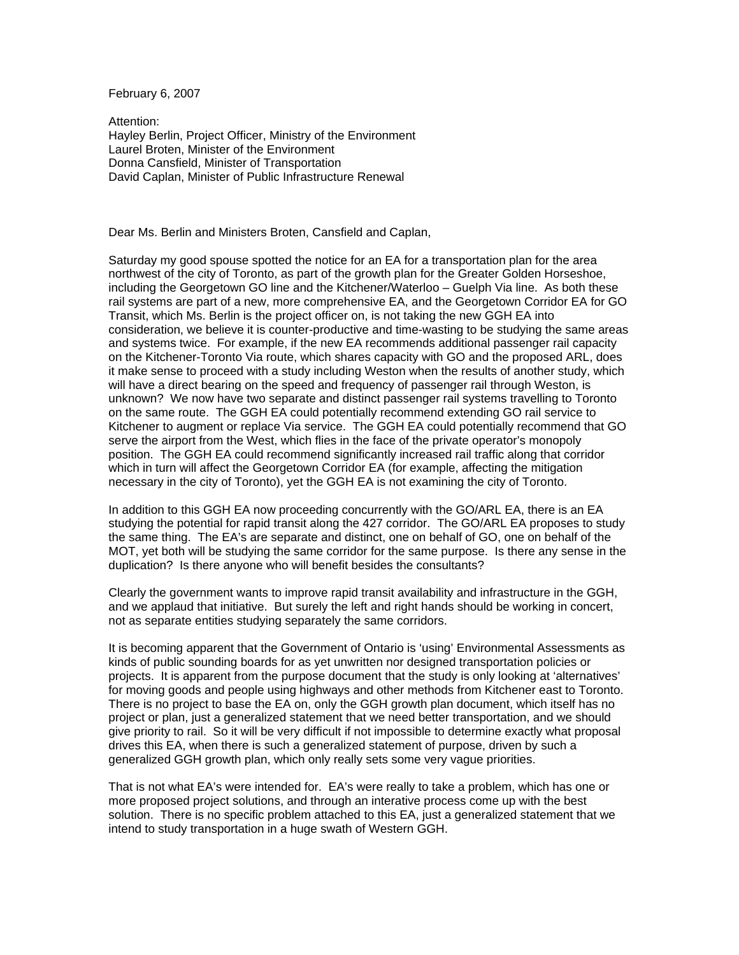February 6, 2007

Attention: Hayley Berlin, Project Officer, Ministry of the Environment Laurel Broten, Minister of the Environment Donna Cansfield, Minister of Transportation David Caplan, Minister of Public Infrastructure Renewal

Dear Ms. Berlin and Ministers Broten, Cansfield and Caplan,

Saturday my good spouse spotted the notice for an EA for a transportation plan for the area northwest of the city of Toronto, as part of the growth plan for the Greater Golden Horseshoe, including the Georgetown GO line and the Kitchener/Waterloo – Guelph Via line. As both these rail systems are part of a new, more comprehensive EA, and the Georgetown Corridor EA for GO Transit, which Ms. Berlin is the project officer on, is not taking the new GGH EA into consideration, we believe it is counter-productive and time-wasting to be studying the same areas and systems twice. For example, if the new EA recommends additional passenger rail capacity on the Kitchener-Toronto Via route, which shares capacity with GO and the proposed ARL, does it make sense to proceed with a study including Weston when the results of another study, which will have a direct bearing on the speed and frequency of passenger rail through Weston, is unknown? We now have two separate and distinct passenger rail systems travelling to Toronto on the same route. The GGH EA could potentially recommend extending GO rail service to Kitchener to augment or replace Via service. The GGH EA could potentially recommend that GO serve the airport from the West, which flies in the face of the private operator's monopoly position. The GGH EA could recommend significantly increased rail traffic along that corridor which in turn will affect the Georgetown Corridor EA (for example, affecting the mitigation necessary in the city of Toronto), yet the GGH EA is not examining the city of Toronto.

In addition to this GGH EA now proceeding concurrently with the GO/ARL EA, there is an EA studying the potential for rapid transit along the 427 corridor. The GO/ARL EA proposes to study the same thing. The EA's are separate and distinct, one on behalf of GO, one on behalf of the MOT, yet both will be studying the same corridor for the same purpose. Is there any sense in the duplication? Is there anyone who will benefit besides the consultants?

Clearly the government wants to improve rapid transit availability and infrastructure in the GGH, and we applaud that initiative. But surely the left and right hands should be working in concert, not as separate entities studying separately the same corridors.

It is becoming apparent that the Government of Ontario is 'using' Environmental Assessments as kinds of public sounding boards for as yet unwritten nor designed transportation policies or projects. It is apparent from the purpose document that the study is only looking at 'alternatives' for moving goods and people using highways and other methods from Kitchener east to Toronto. There is no project to base the EA on, only the GGH growth plan document, which itself has no project or plan, just a generalized statement that we need better transportation, and we should give priority to rail. So it will be very difficult if not impossible to determine exactly what proposal drives this EA, when there is such a generalized statement of purpose, driven by such a generalized GGH growth plan, which only really sets some very vague priorities.

That is not what EA's were intended for. EA's were really to take a problem, which has one or more proposed project solutions, and through an interative process come up with the best solution. There is no specific problem attached to this EA, just a generalized statement that we intend to study transportation in a huge swath of Western GGH.